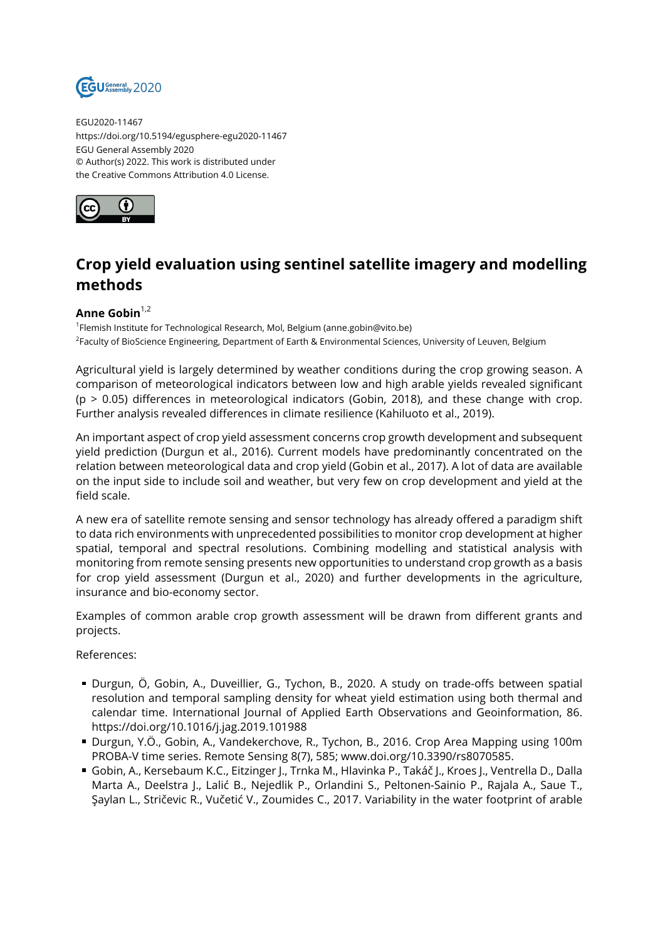

EGU2020-11467 https://doi.org/10.5194/egusphere-egu2020-11467 EGU General Assembly 2020 © Author(s) 2022. This work is distributed under the Creative Commons Attribution 4.0 License.



## **Crop yield evaluation using sentinel satellite imagery and modelling methods**

## **Anne Gobin**1,2

1 Flemish Institute for Technological Research, Mol, Belgium (anne.gobin@vito.be) <sup>2</sup>Faculty of BioScience Engineering, Department of Earth & Environmental Sciences, University of Leuven, Belgium

Agricultural yield is largely determined by weather conditions during the crop growing season. A comparison of meteorological indicators between low and high arable yields revealed significant  $(p > 0.05)$  differences in meteorological indicators (Gobin, 2018), and these change with crop. Further analysis revealed differences in climate resilience (Kahiluoto et al., 2019).

An important aspect of crop yield assessment concerns crop growth development and subsequent yield prediction (Durgun et al., 2016). Current models have predominantly concentrated on the relation between meteorological data and crop yield (Gobin et al., 2017). A lot of data are available on the input side to include soil and weather, but very few on crop development and yield at the field scale.

A new era of satellite remote sensing and sensor technology has already offered a paradigm shift to data rich environments with unprecedented possibilities to monitor crop development at higher spatial, temporal and spectral resolutions. Combining modelling and statistical analysis with monitoring from remote sensing presents new opportunities to understand crop growth as a basis for crop yield assessment (Durgun et al., 2020) and further developments in the agriculture, insurance and bio-economy sector.

Examples of common arable crop growth assessment will be drawn from different grants and projects.

References:

- Durgun, Ö, Gobin, A., Duveillier, G., Tychon, B., 2020. A study on trade-offs between spatial resolution and temporal sampling density for wheat yield estimation using both thermal and calendar time. International Journal of Applied Earth Observations and Geoinformation, 86. https://doi.org/10.1016/j.jag.2019.101988
- Durgun, Y.Ö., Gobin, A., Vandekerchove, R., Tychon, B., 2016. Crop Area Mapping using 100m PROBA-V time series. Remote Sensing 8(7), 585; www.doi.org/10.3390/rs8070585.
- Gobin, A., Kersebaum K.C., Eitzinger J., Trnka M., Hlavinka P., Takáč J., Kroes J., Ventrella D., Dalla Marta A., Deelstra J., Lalić B., Nejedlik P., Orlandini S., Peltonen-Sainio P., Rajala A., Saue T., Şaylan L., Stričevic R., Vučetić V., Zoumides C., 2017. Variability in the water footprint of arable